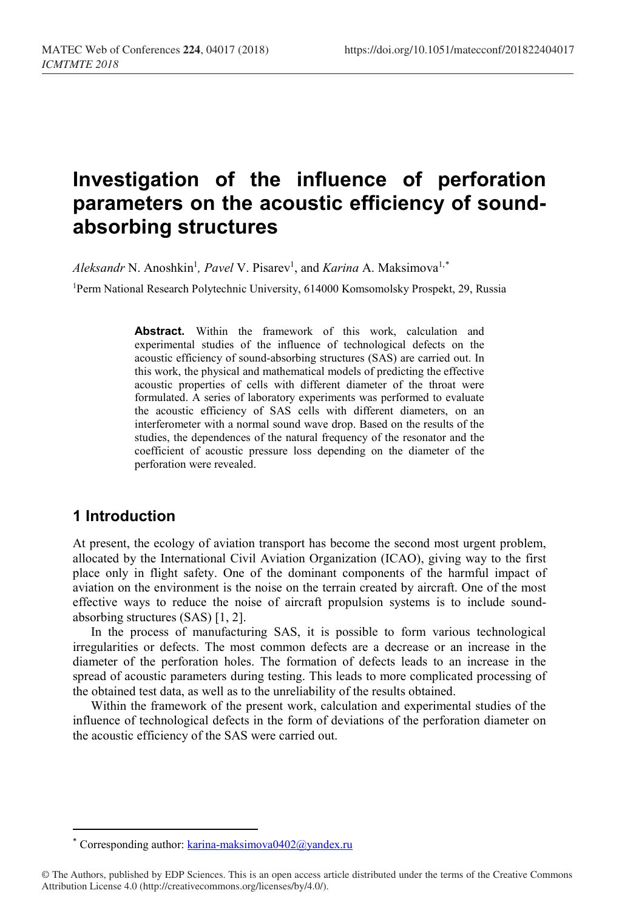# **Investigation of the influence of perforation parameters on the acoustic efficiency of soundabsorbing structures**

*Aleksandr* N. Anoshkin<sup>1</sup>, *Pavel* V. Pisarev<sup>1</sup>, and *Karina* A. Maksimova<sup>1,[\\*](#page-0-0)</sup>

1Perm National Research Polytechnic University, 614000 Komsomolsky Prospekt, 29, Russia

**Abstract.** Within the framework of this work, calculation and experimental studies of the influence of technological defects on the acoustic efficiency of sound-absorbing structures (SAS) are carried out. In this work, the physical and mathematical models of predicting the effective acoustic properties of cells with different diameter of the throat were formulated. A series of laboratory experiments was performed to evaluate the acoustic efficiency of SAS cells with different diameters, on an interferometer with a normal sound wave drop. Based on the results of the studies, the dependences of the natural frequency of the resonator and the coefficient of acoustic pressure loss depending on the diameter of the perforation were revealed.

#### **1 Introduction**

 $\overline{\phantom{a}}$ 

At present, the ecology of aviation transport has become the second most urgent problem, allocated by the International Civil Aviation Organization (ICAO), giving way to the first place only in flight safety. One of the dominant components of the harmful impact of aviation on the environment is the noise on the terrain created by aircraft. One of the most effective ways to reduce the noise of aircraft propulsion systems is to include soundabsorbing structures (SAS) [1, 2].

In the process of manufacturing SAS, it is possible to form various technological irregularities or defects. The most common defects are a decrease or an increase in the diameter of the perforation holes. The formation of defects leads to an increase in the spread of acoustic parameters during testing. This leads to more complicated processing of the obtained test data, as well as to the unreliability of the results obtained.

Within the framework of the present work, calculation and experimental studies of the influence of technological defects in the form of deviations of the perforation diameter on the acoustic efficiency of the SAS were carried out.

<span id="page-0-0"></span><sup>\*</sup> Corresponding author: karina-maksimova $0402@$ yandex.ru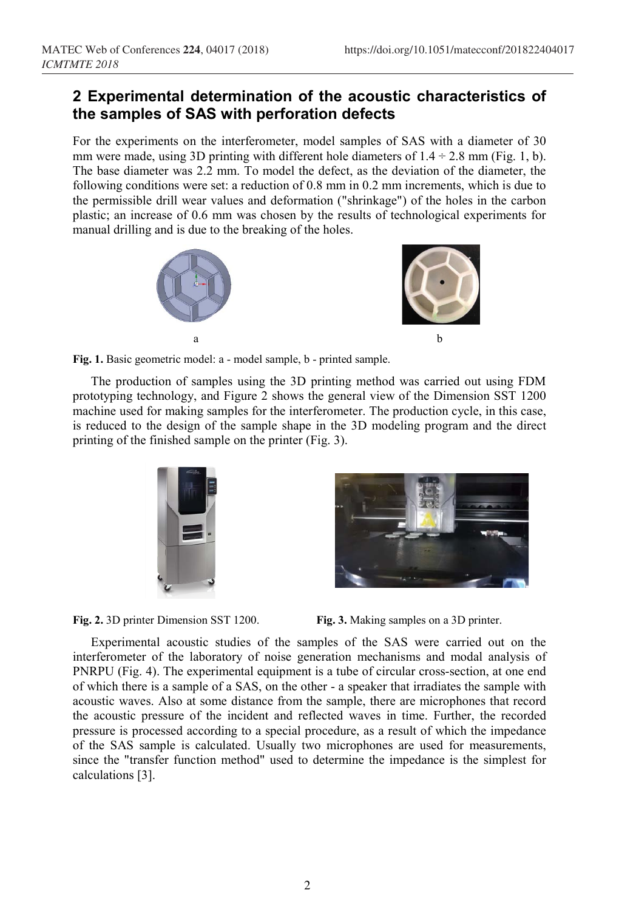## **2 Experimental determination of the acoustic characteristics of the samples of SAS with perforation defects**

For the experiments on the interferometer, model samples of SAS with a diameter of 30 mm were made, using 3D printing with different hole diameters of  $1.4 \div 2.8$  mm (Fig. 1, b). The base diameter was 2.2 mm. To model the defect, as the deviation of the diameter, the following conditions were set: a reduction of 0.8 mm in 0.2 mm increments, which is due to the permissible drill wear values and deformation ("shrinkage") of the holes in the carbon plastic; an increase of 0.6 mm was chosen by the results of technological experiments for manual drilling and is due to the breaking of the holes.







The production of samples using the 3D printing method was carried out using FDM prototyping technology, and Figure 2 shows the general view of the Dimension SST 1200 machine used for making samples for the interferometer. The production cycle, in this case, is reduced to the design of the sample shape in the 3D modeling program and the direct printing of the finished sample on the printer (Fig. 3).







Experimental acoustic studies of the samples of the SAS were carried out on the interferometer of the laboratory of noise generation mechanisms and modal analysis of PNRPU (Fig. 4). The experimental equipment is a tube of circular cross-section, at one end of which there is a sample of a SAS, on the other - a speaker that irradiates the sample with acoustic waves. Also at some distance from the sample, there are microphones that record the acoustic pressure of the incident and reflected waves in time. Further, the recorded pressure is processed according to a special procedure, as a result of which the impedance of the SAS sample is calculated. Usually two microphones are used for measurements, since the "transfer function method" used to determine the impedance is the simplest for calculations [3].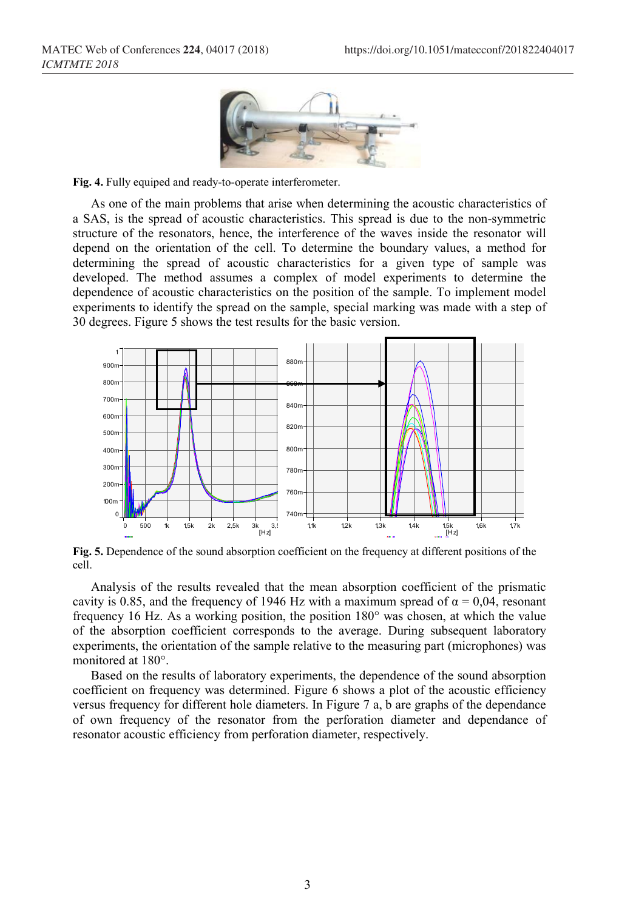

**Fig. 4.** Fully equiped and ready-to-operate interferometer.

As one of the main problems that arise when determining the acoustic characteristics of a SAS, is the spread of acoustic characteristics. This spread is due to the non-symmetric structure of the resonators, hence, the interference of the waves inside the resonator will depend on the orientation of the cell. To determine the boundary values, a method for determining the spread of acoustic characteristics for a given type of sample was developed. The method assumes a complex of model experiments to determine the dependence of acoustic characteristics on the position of the sample. To implement model experiments to identify the spread on the sample, special marking was made with a step of 30 degrees. Figure 5 shows the test results for the basic version.



**Fig. 5.** Dependence of the sound absorption coefficient on the frequency at different positions of the cell.

Analysis of the results revealed that the mean absorption coefficient of the prismatic cavity is 0.85, and the frequency of 1946 Hz with a maximum spread of  $\alpha = 0.04$ , resonant frequency 16 Hz. As a working position, the position 180° was chosen, at which the value of the absorption coefficient corresponds to the average. During subsequent laboratory experiments, the orientation of the sample relative to the measuring part (microphones) was monitored at 180°.

Based on the results of laboratory experiments, the dependence of the sound absorption coefficient on frequency was determined. Figure 6 shows a plot of the acoustic efficiency versus frequency for different hole diameters. In Figure 7 a, b are graphs of the dependance of own frequency of the resonator from the perforation diameter and dependance of resonator acoustic efficiency from perforation diameter, respectively.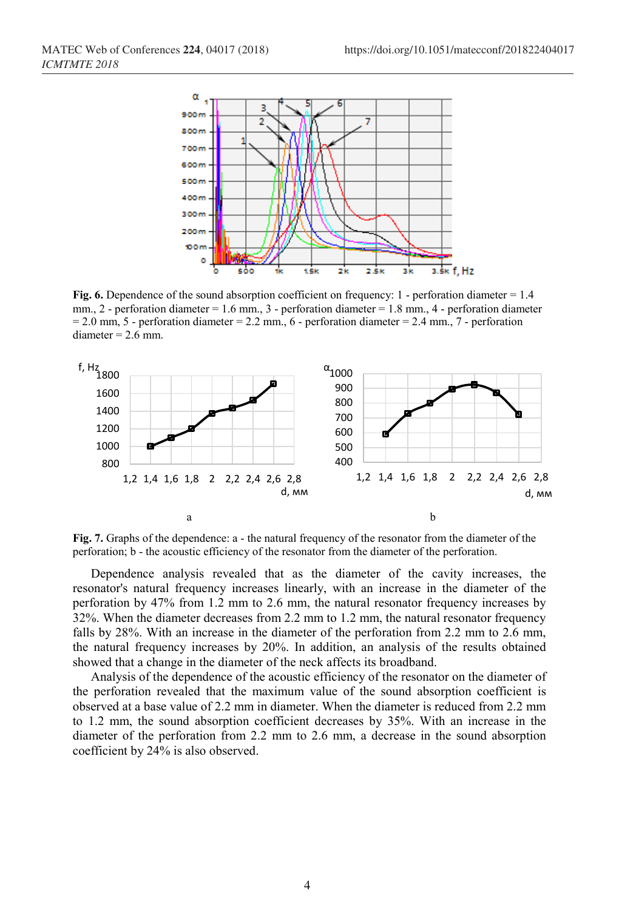

**Fig.** 6. Dependence of the sound absorption coefficient on frequency: 1 - perforation diameter = 1.4 mm., 2 - perforation diameter = 1.6 mm., 3 - perforation diameter = 1.8 mm., 4 - perforation diameter  $= 2.0$  mm,  $= 5$  - perforation diameter  $= 2.2$  mm.,  $= 6$  - perforation diameter  $= 2.4$  mm.,  $= 7$  - perforation diameter  $= 2.6$  mm.



**Fig. 7.** Graphs of the dependence: a - the natural frequency of the resonator from the diameter of the perforation; b - the acoustic efficiency of the resonator from the diameter of the perforation.

Dependence analysis revealed that as the diameter of the cavity increases, the resonator's natural frequency increases linearly, with an increase in the diameter of the perforation by 47% from 1.2 mm to 2.6 mm, the natural resonator frequency increases by 32%. When the diameter decreases from 2.2 mm to 1.2 mm, the natural resonator frequency falls by 28%. With an increase in the diameter of the perforation from 2.2 mm to 2.6 mm, the natural frequency increases by 20%. In addition, an analysis of the results obtained showed that a change in the diameter of the neck affects its broadband.

Analysis of the dependence of the acoustic efficiency of the resonator on the diameter of the perforation revealed that the maximum value of the sound absorption coefficient is observed at a base value of 2.2 mm in diameter. When the diameter is reduced from 2.2 mm to 1.2 mm, the sound absorption coefficient decreases by 35%. With an increase in the diameter of the perforation from 2.2 mm to 2.6 mm, a decrease in the sound absorption coefficient by 24% is also observed.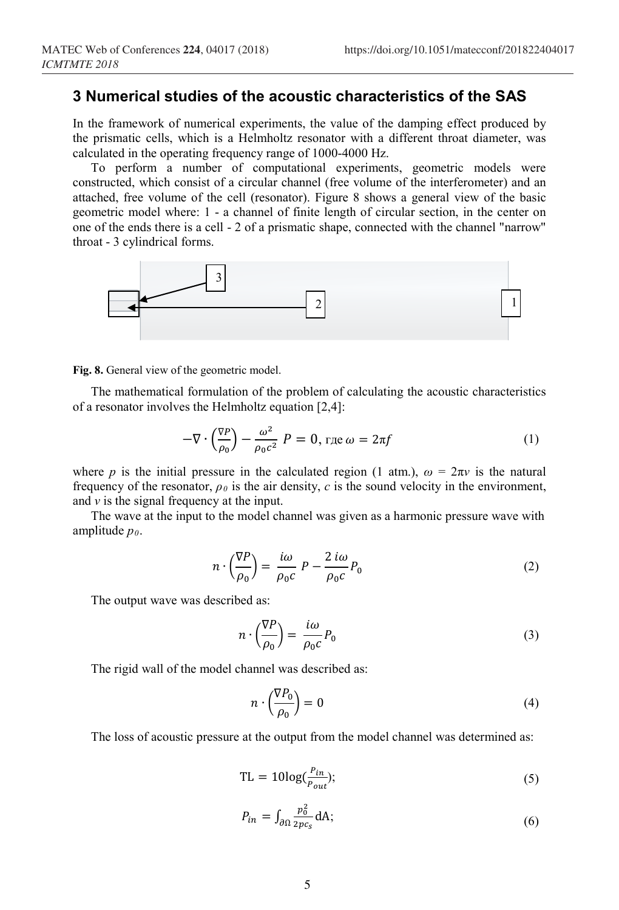#### **3 Numerical studies of the acoustic characteristics of the SAS**

In the framework of numerical experiments, the value of the damping effect produced by the prismatic cells, which is a Helmholtz resonator with a different throat diameter, was calculated in the operating frequency range of 1000-4000 Hz.

To perform a number of computational experiments, geometric models were constructed, which consist of a circular channel (free volume of the interferometer) and an attached, free volume of the cell (resonator). Figure 8 shows a general view of the basic geometric model where: 1 - a channel of finite length of circular section, in the center on one of the ends there is a cell - 2 of a prismatic shape, connected with the channel "narrow" throat - 3 cylindrical forms.



**Fig. 8.** General view of the geometric model.

The mathematical formulation of the problem of calculating the acoustic characteristics of a resonator involves the Helmholtz equation [2,4]:

$$
-\nabla \cdot \left(\frac{\nabla P}{\rho_0}\right) - \frac{\omega^2}{\rho_0 c^2} P = 0, \text{ rate } \omega = 2\pi f \tag{1}
$$

where *p* is the initial pressure in the calculated region (1 atm.),  $\omega = 2\pi v$  is the natural frequency of the resonator,  $\rho_0$  is the air density, *c* is the sound velocity in the environment, and  $\nu$  is the signal frequency at the input.

The wave at the input to the model channel was given as a harmonic pressure wave with amplitude *p0*.

$$
n \cdot \left(\frac{\nabla P}{\rho_0}\right) = \frac{i\omega}{\rho_0 c} \, P - \frac{2 i\omega}{\rho_0 c} P_0 \tag{2}
$$

The output wave was described as:

$$
n \cdot \left(\frac{\nabla P}{\rho_0}\right) = \frac{i\omega}{\rho_0 c} P_0 \tag{3}
$$

The rigid wall of the model channel was described as:

$$
n \cdot \left(\frac{\nabla P_0}{\rho_0}\right) = 0\tag{4}
$$

The loss of acoustic pressure at the output from the model channel was determined as:

$$
TL = 10\log(\frac{P_{in}}{P_{out}});
$$
\n(5)

$$
P_{in} = \int_{\partial \Omega} \frac{p_0^2}{2pc_s} dA; \tag{6}
$$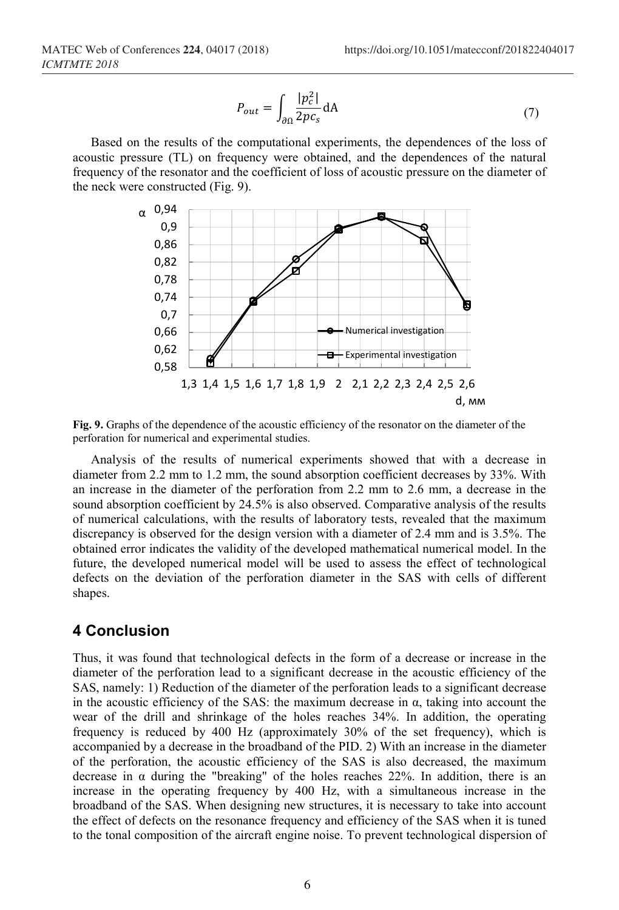$$
P_{out} = \int_{\partial \Omega} \frac{|p_c^2|}{2p c_s} dA \tag{7}
$$

Based on the results of the computational experiments, the dependences of the loss of acoustic pressure (TL) on frequency were obtained, and the dependences of the natural frequency of the resonator and the coefficient of loss of acoustic pressure on the diameter of the neck were constructed (Fig. 9).



**Fig. 9.** Graphs of the dependence of the acoustic efficiency of the resonator on the diameter of the perforation for numerical and experimental studies.

Analysis of the results of numerical experiments showed that with a decrease in diameter from 2.2 mm to 1.2 mm, the sound absorption coefficient decreases by 33%. With an increase in the diameter of the perforation from 2.2 mm to 2.6 mm, a decrease in the sound absorption coefficient by 24.5% is also observed. Comparative analysis of the results of numerical calculations, with the results of laboratory tests, revealed that the maximum discrepancy is observed for the design version with a diameter of 2.4 mm and is 3.5%. The obtained error indicates the validity of the developed mathematical numerical model. In the future, the developed numerical model will be used to assess the effect of technological defects on the deviation of the perforation diameter in the SAS with cells of different shapes.

#### **4 Conclusion**

Thus, it was found that technological defects in the form of a decrease or increase in the diameter of the perforation lead to a significant decrease in the acoustic efficiency of the SAS, namely: 1) Reduction of the diameter of the perforation leads to a significant decrease in the acoustic efficiency of the SAS: the maximum decrease in  $\alpha$ , taking into account the wear of the drill and shrinkage of the holes reaches 34%. In addition, the operating frequency is reduced by 400 Hz (approximately 30% of the set frequency), which is accompanied by a decrease in the broadband of the PID. 2) With an increase in the diameter of the perforation, the acoustic efficiency of the SAS is also decreased, the maximum decrease in  $\alpha$  during the "breaking" of the holes reaches 22%. In addition, there is an increase in the operating frequency by 400 Hz, with a simultaneous increase in the broadband of the SAS. When designing new structures, it is necessary to take into account the effect of defects on the resonance frequency and efficiency of the SAS when it is tuned to the tonal composition of the aircraft engine noise. To prevent technological dispersion of